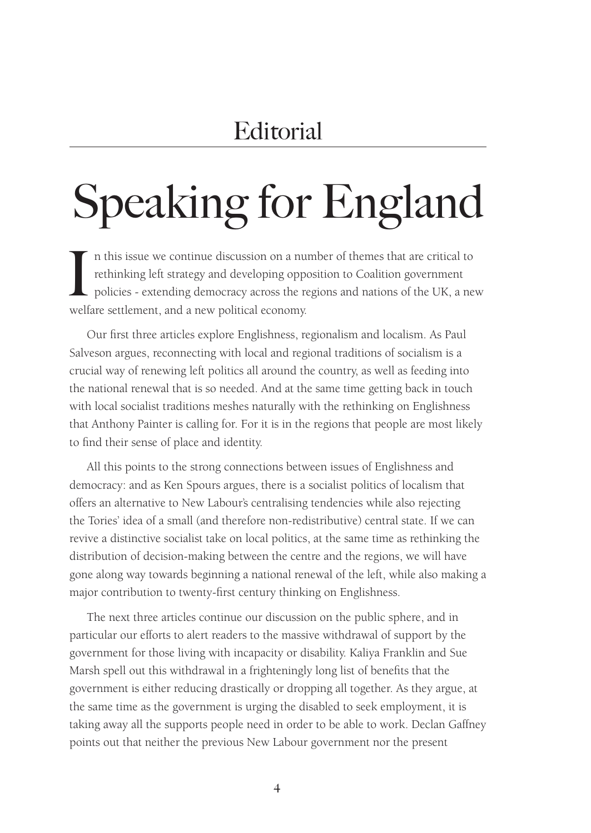## Speaking for England

In this issue we continue discussion on a nu rethinking left strategy and developing opp policies - extending democracy across the r welfare settlement, and a new political economy. n this issue we continue discussion on a number of themes that are critical to rethinking left strategy and developing opposition to Coalition government policies - extending democracy across the regions and nations of the UK, a new

Our first three articles explore Englishness, regionalism and localism. As Paul Salveson argues, reconnecting with local and regional traditions of socialism is a crucial way of renewing left politics all around the country, as well as feeding into the national renewal that is so needed. And at the same time getting back in touch with local socialist traditions meshes naturally with the rethinking on Englishness that Anthony Painter is calling for. For it is in the regions that people are most likely to find their sense of place and identity.

All this points to the strong connections between issues of Englishness and democracy: and as Ken Spours argues, there is a socialist politics of localism that offers an alternative to New Labour's centralising tendencies while also rejecting the Tories' idea of a small (and therefore non-redistributive) central state. If we can revive a distinctive socialist take on local politics, at the same time as rethinking the distribution of decision-making between the centre and the regions, we will have gone along way towards beginning a national renewal of the left, while also making a major contribution to twenty-first century thinking on Englishness.

The next three articles continue our discussion on the public sphere, and in particular our efforts to alert readers to the massive withdrawal of support by the government for those living with incapacity or disability. Kaliya Franklin and Sue Marsh spell out this withdrawal in a frighteningly long list of benefits that the government is either reducing drastically or dropping all together. As they argue, at the same time as the government is urging the disabled to seek employment, it is taking away all the supports people need in order to be able to work. Declan Gaffney points out that neither the previous New Labour government nor the present